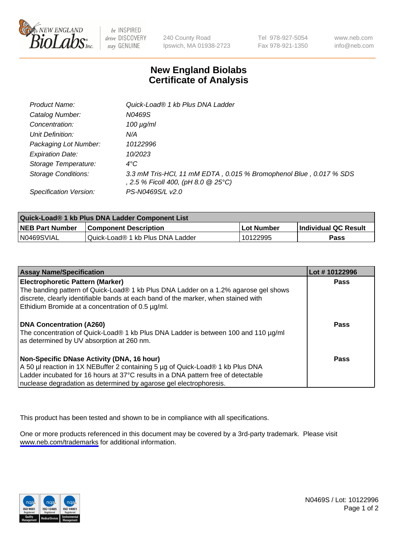

be INSPIRED drive DISCOVERY stay GENUINE

240 County Road Ipswich, MA 01938-2723 Tel 978-927-5054 Fax 978-921-1350

www.neb.com info@neb.com

## **New England Biolabs Certificate of Analysis**

| Product Name:              | Quick-Load® 1 kb Plus DNA Ladder                                                                          |
|----------------------------|-----------------------------------------------------------------------------------------------------------|
| Catalog Number:            | N0469S                                                                                                    |
| Concentration:             | $100 \mu g/ml$                                                                                            |
| Unit Definition:           | N/A                                                                                                       |
| Packaging Lot Number:      | 10122996                                                                                                  |
| <b>Expiration Date:</b>    | 10/2023                                                                                                   |
| Storage Temperature:       | $4^{\circ}$ C                                                                                             |
| <b>Storage Conditions:</b> | 3.3 mM Tris-HCl, 11 mM EDTA, 0.015 % Bromophenol Blue, 0.017 % SDS<br>, 2.5 % Ficoll 400, (pH 8.0 @ 25°C) |
| Specification Version:     | PS-N0469S/L v2.0                                                                                          |

| Quick-Load® 1 kb Plus DNA Ladder Component List |                                  |            |                             |  |
|-------------------------------------------------|----------------------------------|------------|-----------------------------|--|
| <b>NEB Part Number</b>                          | <b>Component Description</b>     | Lot Number | <b>Individual QC Result</b> |  |
| N0469SVIAL                                      | Quick-Load® 1 kb Plus DNA Ladder | 10122995   | Pass                        |  |

| <b>Assay Name/Specification</b>                                                                                                                                                                                                                                                         | Lot #10122996 |
|-----------------------------------------------------------------------------------------------------------------------------------------------------------------------------------------------------------------------------------------------------------------------------------------|---------------|
| <b>Electrophoretic Pattern (Marker)</b><br>The banding pattern of Quick-Load® 1 kb Plus DNA Ladder on a 1.2% agarose gel shows<br>discrete, clearly identifiable bands at each band of the marker, when stained with<br>Ethidium Bromide at a concentration of 0.5 µg/ml.               | <b>Pass</b>   |
| DNA Concentration (A260)<br>The concentration of Quick-Load® 1 kb Plus DNA Ladder is between 100 and 110 µg/ml<br>as determined by UV absorption at 260 nm.                                                                                                                             | Pass          |
| Non-Specific DNase Activity (DNA, 16 hour)<br>A 50 µl reaction in 1X NEBuffer 2 containing 5 µg of Quick-Load® 1 kb Plus DNA<br>Ladder incubated for 16 hours at 37°C results in a DNA pattern free of detectable<br>nuclease degradation as determined by agarose gel electrophoresis. | Pass          |

This product has been tested and shown to be in compliance with all specifications.

One or more products referenced in this document may be covered by a 3rd-party trademark. Please visit <www.neb.com/trademarks>for additional information.